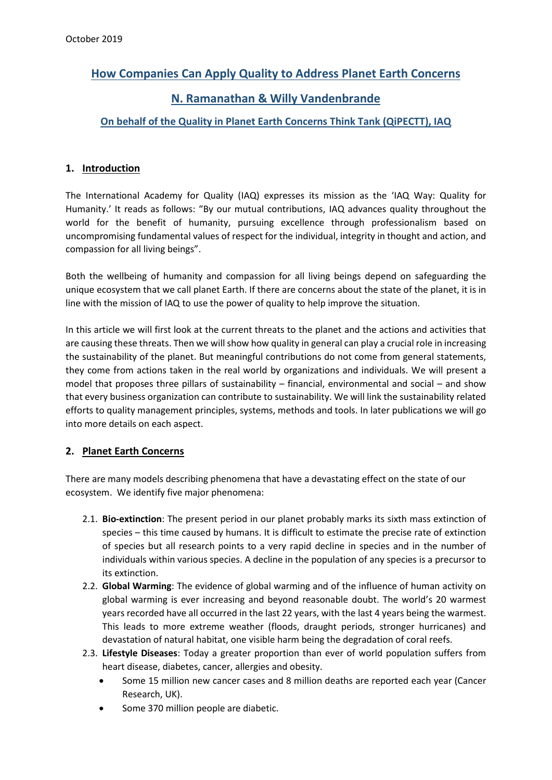# **How Companies Can Apply Quality to Address Planet Earth Concerns**

# **N. Ramanathan & Willy Vandenbrande**

# **On behalf of the Quality in Planet Earth Concerns Think Tank (QiPECTT), IAQ**

## **1. Introduction**

The International Academy for Quality (IAQ) expresses its mission as the 'IAQ Way: Quality for Humanity.' It reads as follows: "By our mutual contributions, IAQ advances quality throughout the world for the benefit of humanity, pursuing excellence through professionalism based on uncompromising fundamental values of respect for the individual, integrity in thought and action, and compassion for all living beings".

Both the wellbeing of humanity and compassion for all living beings depend on safeguarding the unique ecosystem that we call planet Earth. If there are concerns about the state of the planet, it is in line with the mission of IAQ to use the power of quality to help improve the situation.

In this article we will first look at the current threats to the planet and the actions and activities that are causing these threats. Then we will show how quality in general can play a crucial role in increasing the sustainability of the planet. But meaningful contributions do not come from general statements, they come from actions taken in the real world by organizations and individuals. We will present a model that proposes three pillars of sustainability – financial, environmental and social – and show that every business organization can contribute to sustainability. We will link the sustainability related efforts to quality management principles, systems, methods and tools. In later publications we will go into more details on each aspect.

## **2. Planet Earth Concerns**

There are many models describing phenomena that have a devastating effect on the state of our ecosystem. We identify five major phenomena:

- 2.1. **Bio-extinction**: The present period in our planet probably marks its sixth mass extinction of species – this time caused by humans. It is difficult to estimate the precise rate of extinction of species but all research points to a very rapid decline in species and in the number of individuals within various species. A decline in the population of any species is a precursor to its extinction.
- 2.2. **Global Warming**: The evidence of global warming and of the influence of human activity on global warming is ever increasing and beyond reasonable doubt. The world's 20 warmest years recorded have all occurred in the last 22 years, with the last 4 years being the warmest. This leads to more extreme weather (floods, draught periods, stronger hurricanes) and devastation of natural habitat, one visible harm being the degradation of coral reefs.
- 2.3. **Lifestyle Diseases**: Today a greater proportion than ever of world population suffers from heart disease, diabetes, cancer, allergies and obesity.
	- Some 15 million new cancer cases and 8 million deaths are reported each year (Cancer Research, UK).
	- Some 370 million people are diabetic.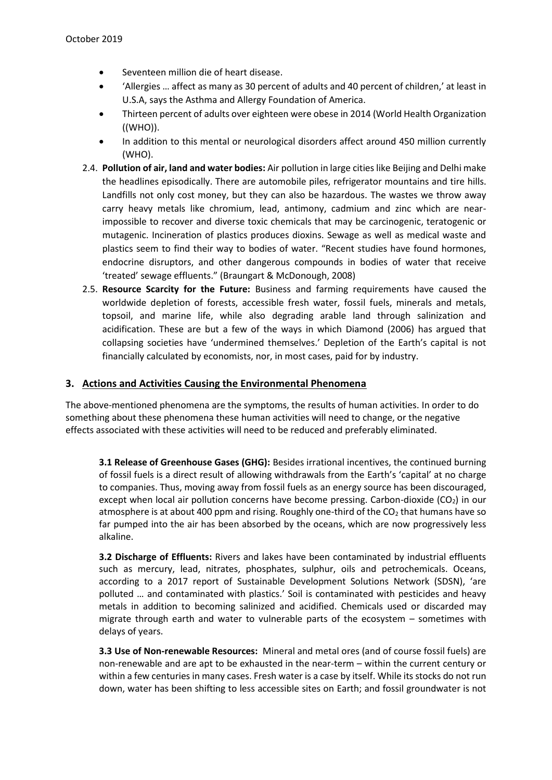- Seventeen million die of heart disease.
- 'Allergies … affect as many as 30 percent of adults and 40 percent of children,' at least in U.S.A, says the Asthma and Allergy Foundation of America.
- Thirteen percent of adults over eighteen were obese in 2014 (World Health Organization ((WHO)).
- In addition to this mental or neurological disorders affect around 450 million currently (WHO).
- 2.4. **Pollution of air, land and water bodies:** Air pollution in large cities like Beijing and Delhi make the headlines episodically. There are automobile piles, refrigerator mountains and tire hills. Landfills not only cost money, but they can also be hazardous. The wastes we throw away carry heavy metals like chromium, lead, antimony, cadmium and zinc which are nearimpossible to recover and diverse toxic chemicals that may be carcinogenic, teratogenic or mutagenic. Incineration of plastics produces dioxins. Sewage as well as medical waste and plastics seem to find their way to bodies of water. "Recent studies have found hormones, endocrine disruptors, and other dangerous compounds in bodies of water that receive 'treated' sewage effluents." (Braungart & McDonough, 2008)
- 2.5. **Resource Scarcity for the Future:** Business and farming requirements have caused the worldwide depletion of forests, accessible fresh water, fossil fuels, minerals and metals, topsoil, and marine life, while also degrading arable land through salinization and acidification. These are but a few of the ways in which Diamond (2006) has argued that collapsing societies have 'undermined themselves.' Depletion of the Earth's capital is not financially calculated by economists, nor, in most cases, paid for by industry.

#### **3. Actions and Activities Causing the Environmental Phenomena**

The above-mentioned phenomena are the symptoms, the results of human activities. In order to do something about these phenomena these human activities will need to change, or the negative effects associated with these activities will need to be reduced and preferably eliminated.

**3.1 Release of Greenhouse Gases (GHG):** Besides irrational incentives, the continued burning of fossil fuels is a direct result of allowing withdrawals from the Earth's 'capital' at no charge to companies. Thus, moving away from fossil fuels as an energy source has been discouraged, except when local air pollution concerns have become pressing. Carbon-dioxide  $(CO_2)$  in our atmosphere is at about 400 ppm and rising. Roughly one-third of the  $CO<sub>2</sub>$  that humans have so far pumped into the air has been absorbed by the oceans, which are now progressively less alkaline.

**3.2 Discharge of Effluents:** Rivers and lakes have been contaminated by industrial effluents such as mercury, lead, nitrates, phosphates, sulphur, oils and petrochemicals. Oceans, according to a 2017 report of Sustainable Development Solutions Network (SDSN), 'are polluted … and contaminated with plastics.' Soil is contaminated with pesticides and heavy metals in addition to becoming salinized and acidified. Chemicals used or discarded may migrate through earth and water to vulnerable parts of the ecosystem – sometimes with delays of years.

**3.3 Use of Non-renewable Resources:** Mineral and metal ores (and of course fossil fuels) are non-renewable and are apt to be exhausted in the near-term – within the current century or within a few centuries in many cases. Fresh water is a case by itself. While its stocks do not run down, water has been shifting to less accessible sites on Earth; and fossil groundwater is not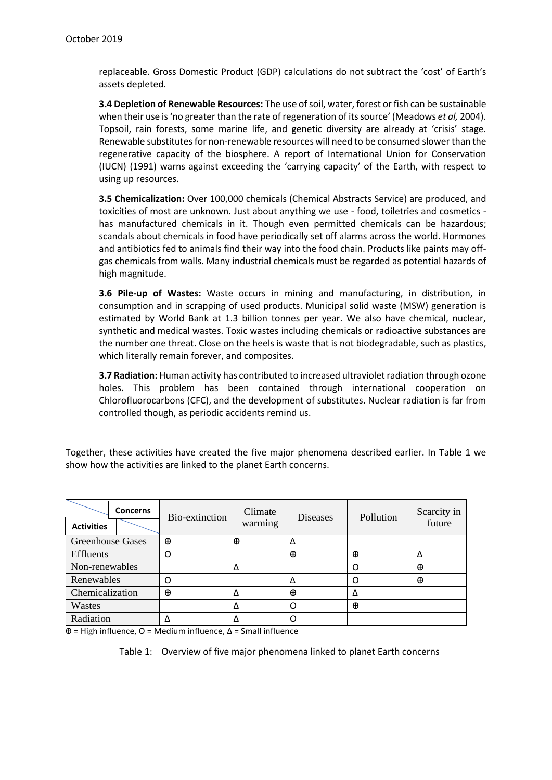replaceable. Gross Domestic Product (GDP) calculations do not subtract the 'cost' of Earth's assets depleted.

**3.4 Depletion of Renewable Resources:** The use of soil, water, forest or fish can be sustainable when their use is 'no greater than the rate of regeneration of its source' (Meadows *et al,* 2004). Topsoil, rain forests, some marine life, and genetic diversity are already at 'crisis' stage. Renewable substitutes for non-renewable resources will need to be consumed slower than the regenerative capacity of the biosphere. A report of International Union for Conservation (IUCN) (1991) warns against exceeding the 'carrying capacity' of the Earth, with respect to using up resources.

**3.5 Chemicalization:** Over 100,000 chemicals (Chemical Abstracts Service) are produced, and toxicities of most are unknown. Just about anything we use - food, toiletries and cosmetics has manufactured chemicals in it. Though even permitted chemicals can be hazardous; scandals about chemicals in food have periodically set off alarms across the world. Hormones and antibiotics fed to animals find their way into the food chain. Products like paints may offgas chemicals from walls. Many industrial chemicals must be regarded as potential hazards of high magnitude.

**3.6 Pile-up of Wastes:** Waste occurs in mining and manufacturing, in distribution, in consumption and in scrapping of used products. Municipal solid waste (MSW) generation is estimated by World Bank at 1.3 billion tonnes per year. We also have chemical, nuclear, synthetic and medical wastes. Toxic wastes including chemicals or radioactive substances are the number one threat. Close on the heels is waste that is not biodegradable, such as plastics, which literally remain forever, and composites.

**3.7 Radiation:** Human activity has contributed to increased ultraviolet radiation through ozone holes. This problem has been contained through international cooperation on Chlorofluorocarbons (CFC), and the development of substitutes. Nuclear radiation is far from controlled though, as periodic accidents remind us.

Together, these activities have created the five major phenomena described earlier. In Table 1 we show how the activities are linked to the planet Earth concerns.

| <b>Concerns</b><br><b>Activities</b> | Bio-extinction | Climate<br>warming | <b>Diseases</b> | Pollution | Scarcity in<br>future |
|--------------------------------------|----------------|--------------------|-----------------|-----------|-----------------------|
| <b>Greenhouse Gases</b>              | ⊕              | Φ                  | Δ               |           |                       |
| Effluents                            |                |                    | ⊕               | Φ         | Δ                     |
| Non-renewables                       |                |                    |                 |           | ⊕                     |
| Renewables                           |                |                    | Δ               |           | $\oplus$              |
| Chemicalization                      | ⊕              | Λ                  | $\oplus$        | Λ         |                       |
| Wastes                               |                | Δ                  | O               | Φ         |                       |
| Radiation                            |                |                    |                 |           |                       |

 $\oplus$  = High influence, O = Medium influence,  $\Delta$  = Small influence

Table 1: Overview of five major phenomena linked to planet Earth concerns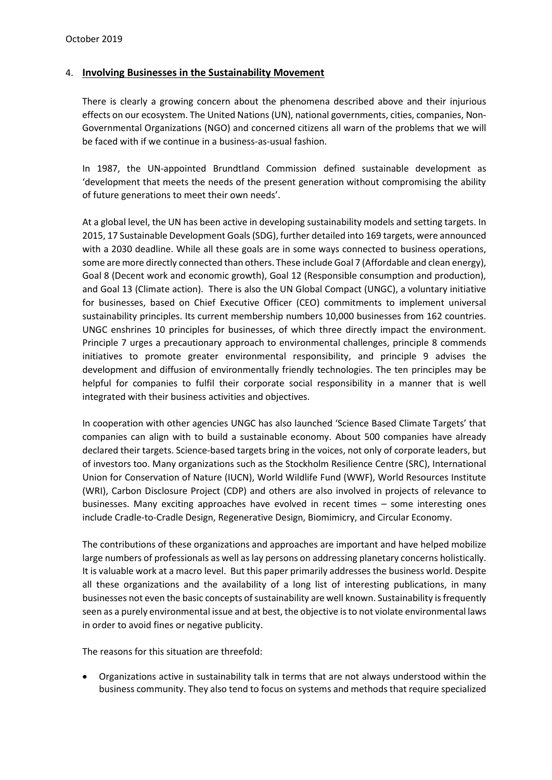#### 4. **Involving Businesses in the Sustainability Movement**

There is clearly a growing concern about the phenomena described above and their injurious effects on our ecosystem. The United Nations (UN), national governments, cities, companies, Non-Governmental Organizations (NGO) and concerned citizens all warn of the problems that we will be faced with if we continue in a business-as-usual fashion.

In 1987, the UN-appointed Brundtland Commission defined sustainable development as 'development that meets the needs of the present generation without compromising the ability of future generations to meet their own needs'.

At a global level, the UN has been active in developing sustainability models and setting targets. In 2015, 17 Sustainable Development Goals (SDG), further detailed into 169 targets, were announced with a 2030 deadline. While all these goals are in some ways connected to business operations, some are more directly connected than others. These include Goal 7 (Affordable and clean energy), Goal 8 (Decent work and economic growth), Goal 12 (Responsible consumption and production), and Goal 13 (Climate action). There is also the UN Global Compact (UNGC), a voluntary initiative for businesses, based on Chief Executive Officer (CEO) commitments to implement universal sustainability principles. Its current membership numbers 10,000 businesses from 162 countries. UNGC enshrines 10 principles for businesses, of which three directly impact the environment. Principle 7 urges a precautionary approach to environmental challenges, principle 8 commends initiatives to promote greater environmental responsibility, and principle 9 advises the development and diffusion of environmentally friendly technologies. The ten principles may be helpful for companies to fulfil their corporate social responsibility in a manner that is well integrated with their business activities and objectives.

In cooperation with other agencies UNGC has also launched 'Science Based Climate Targets' that companies can align with to build a sustainable economy. About 500 companies have already declared their targets. Science-based targets bring in the voices, not only of corporate leaders, but of investors too. Many organizations such as the Stockholm Resilience Centre (SRC), International Union for Conservation of Nature (IUCN), World Wildlife Fund (WWF), World Resources Institute (WRI), Carbon Disclosure Project (CDP) and others are also involved in projects of relevance to businesses. Many exciting approaches have evolved in recent times – some interesting ones include Cradle-to-Cradle Design, Regenerative Design, Biomimicry, and Circular Economy.

The contributions of these organizations and approaches are important and have helped mobilize large numbers of professionals as well as lay persons on addressing planetary concerns holistically. It is valuable work at a macro level. But this paper primarily addresses the business world. Despite all these organizations and the availability of a long list of interesting publications, in many businesses not even the basic concepts of sustainability are well known. Sustainability is frequently seen as a purely environmental issue and at best, the objective is to not violate environmental laws in order to avoid fines or negative publicity.

The reasons for this situation are threefold:

• Organizations active in sustainability talk in terms that are not always understood within the business community. They also tend to focus on systems and methods that require specialized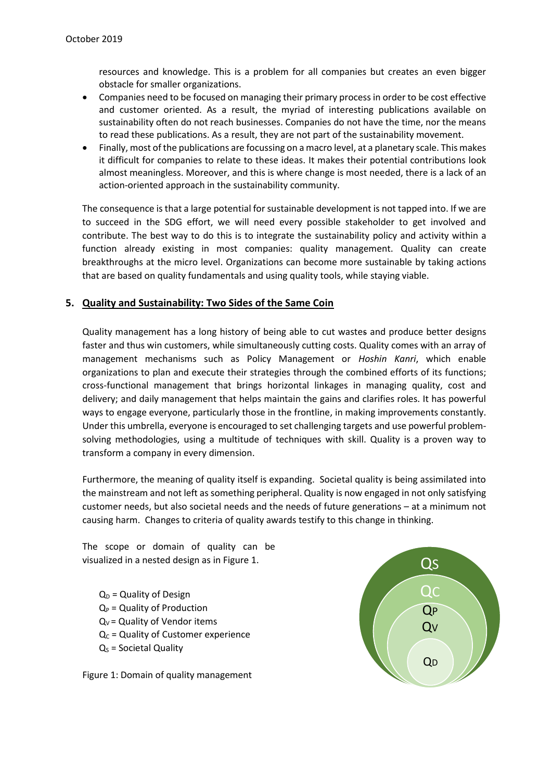resources and knowledge. This is a problem for all companies but creates an even bigger obstacle for smaller organizations.

- Companies need to be focused on managing their primary process in order to be cost effective and customer oriented. As a result, the myriad of interesting publications available on sustainability often do not reach businesses. Companies do not have the time, nor the means to read these publications. As a result, they are not part of the sustainability movement.
- Finally, most of the publications are focussing on a macro level, at a planetary scale. This makes it difficult for companies to relate to these ideas. It makes their potential contributions look almost meaningless. Moreover, and this is where change is most needed, there is a lack of an action-oriented approach in the sustainability community.

The consequence is that a large potential for sustainable development is not tapped into. If we are to succeed in the SDG effort, we will need every possible stakeholder to get involved and contribute. The best way to do this is to integrate the sustainability policy and activity within a function already existing in most companies: quality management. Quality can create breakthroughs at the micro level. Organizations can become more sustainable by taking actions that are based on quality fundamentals and using quality tools, while staying viable.

#### **5. Quality and Sustainability: Two Sides of the Same Coin**

Quality management has a long history of being able to cut wastes and produce better designs faster and thus win customers, while simultaneously cutting costs. Quality comes with an array of management mechanisms such as Policy Management or *Hoshin Kanri*, which enable organizations to plan and execute their strategies through the combined efforts of its functions; cross-functional management that brings horizontal linkages in managing quality, cost and delivery; and daily management that helps maintain the gains and clarifies roles. It has powerful ways to engage everyone, particularly those in the frontline, in making improvements constantly. Under this umbrella, everyone is encouraged to set challenging targets and use powerful problemsolving methodologies, using a multitude of techniques with skill. Quality is a proven way to transform a company in every dimension.

Furthermore, the meaning of quality itself is expanding. Societal quality is being assimilated into the mainstream and not left as something peripheral. Quality is now engaged in not only satisfying customer needs, but also societal needs and the needs of future generations – at a minimum not causing harm. Changes to criteria of quality awards testify to this change in thinking.

The scope or domain of quality can be visualized in a nested design as in Figure 1.

 $Q_D$  = Quality of Design  $Q_P$  = Quality of Production  $Q_V$  = Quality of Vendor items  $Q_C$  = Quality of Customer experience  $Q<sub>S</sub>$  = Societal Quality

Figure 1: Domain of quality management

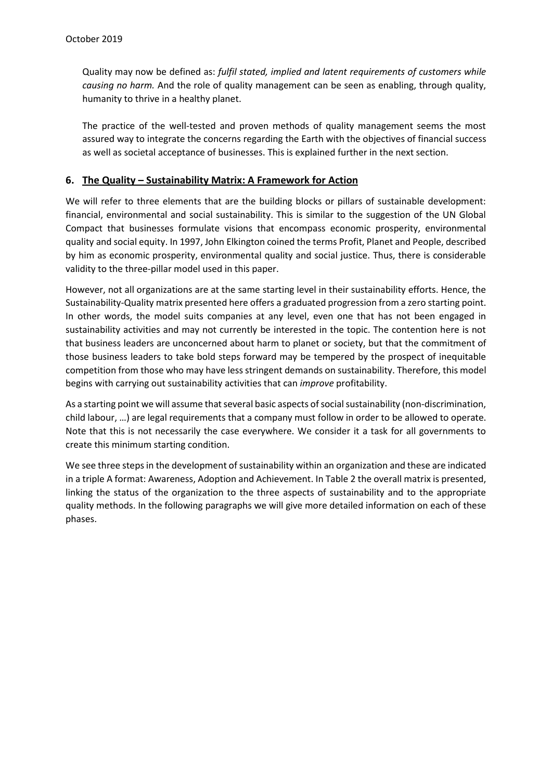Quality may now be defined as: *fulfil stated, implied and latent requirements of customers while causing no harm.* And the role of quality management can be seen as enabling, through quality, humanity to thrive in a healthy planet.

The practice of the well-tested and proven methods of quality management seems the most assured way to integrate the concerns regarding the Earth with the objectives of financial success as well as societal acceptance of businesses. This is explained further in the next section.

### **6. The Quality – Sustainability Matrix: A Framework for Action**

We will refer to three elements that are the building blocks or pillars of sustainable development: financial, environmental and social sustainability. This is similar to the suggestion of the UN Global Compact that businesses formulate visions that encompass economic prosperity, environmental quality and social equity. In 1997, John Elkington coined the terms Profit, Planet and People, described by him as economic prosperity, environmental quality and social justice. Thus, there is considerable validity to the three-pillar model used in this paper.

However, not all organizations are at the same starting level in their sustainability efforts. Hence, the Sustainability-Quality matrix presented here offers a graduated progression from a zero starting point. In other words, the model suits companies at any level, even one that has not been engaged in sustainability activities and may not currently be interested in the topic. The contention here is not that business leaders are unconcerned about harm to planet or society, but that the commitment of those business leaders to take bold steps forward may be tempered by the prospect of inequitable competition from those who may have less stringent demands on sustainability. Therefore, this model begins with carrying out sustainability activities that can *improve* profitability.

As a starting point we will assume that several basic aspects of social sustainability (non-discrimination, child labour, …) are legal requirements that a company must follow in order to be allowed to operate. Note that this is not necessarily the case everywhere. We consider it a task for all governments to create this minimum starting condition.

We see three steps in the development of sustainability within an organization and these are indicated in a triple A format: Awareness, Adoption and Achievement. In Table 2 the overall matrix is presented, linking the status of the organization to the three aspects of sustainability and to the appropriate quality methods. In the following paragraphs we will give more detailed information on each of these phases.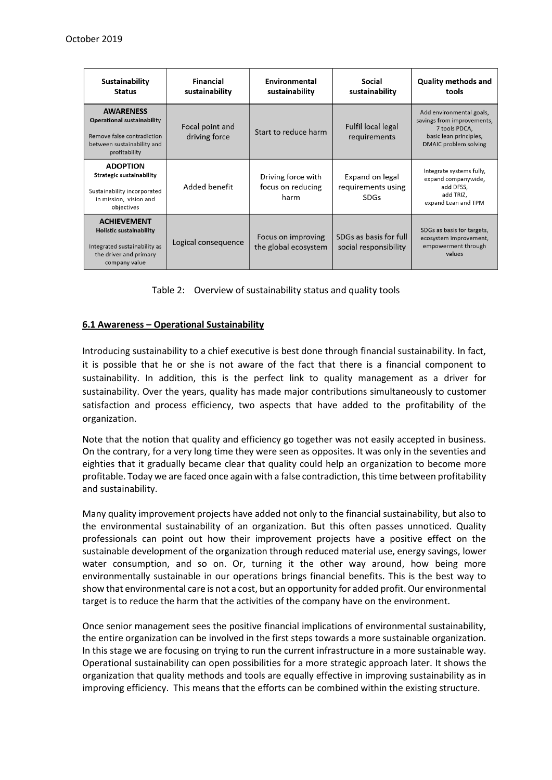| Sustainability<br><b>Status</b>                                                                                                 | Financial<br>sustainability      | Environmental<br>sustainability                 | Social<br>sustainability                             | <b>Quality methods and</b><br>tools                                                                                        |
|---------------------------------------------------------------------------------------------------------------------------------|----------------------------------|-------------------------------------------------|------------------------------------------------------|----------------------------------------------------------------------------------------------------------------------------|
| <b>AWARENESS</b><br>Operational sustainability<br>Remove false contradiction<br>between sustainability and<br>profitability     | Focal point and<br>driving force | Start to reduce harm                            | Fulfil local legal<br>requirements                   | Add environmental goals,<br>savings from improvements,<br>7 tools PDCA,<br>basic lean principles,<br>DMAIC problem solving |
| <b>ADOPTION</b><br>Strategic sustainability<br>Sustainability incorporated<br>in mission, vision and<br>objectives              | Added benefit                    | Driving force with<br>focus on reducing<br>harm | Expand on legal<br>requirements using<br><b>SDGs</b> | Integrate systems fully,<br>expand companywide,<br>add DFSS,<br>add TRIZ,<br>expand Lean and TPM                           |
| <b>ACHIEVEMENT</b><br><b>Holistic sustainability</b><br>Integrated sustainability as<br>the driver and primary<br>company value | Logical consequence              | Focus on improving<br>the global ecosystem      | SDGs as basis for full<br>social responsibility      | SDGs as basis for targets,<br>ecosystem improvement,<br>empowerment through<br>values                                      |

Table 2: Overview of sustainability status and quality tools

#### **6.1 Awareness – Operational Sustainability**

Introducing sustainability to a chief executive is best done through financial sustainability. In fact, it is possible that he or she is not aware of the fact that there is a financial component to sustainability. In addition, this is the perfect link to quality management as a driver for sustainability. Over the years, quality has made major contributions simultaneously to customer satisfaction and process efficiency, two aspects that have added to the profitability of the organization.

Note that the notion that quality and efficiency go together was not easily accepted in business. On the contrary, for a very long time they were seen as opposites. It was only in the seventies and eighties that it gradually became clear that quality could help an organization to become more profitable. Today we are faced once again with a false contradiction, this time between profitability and sustainability.

Many quality improvement projects have added not only to the financial sustainability, but also to the environmental sustainability of an organization. But this often passes unnoticed. Quality professionals can point out how their improvement projects have a positive effect on the sustainable development of the organization through reduced material use, energy savings, lower water consumption, and so on. Or, turning it the other way around, how being more environmentally sustainable in our operations brings financial benefits. This is the best way to show that environmental care is not a cost, but an opportunity for added profit. Our environmental target is to reduce the harm that the activities of the company have on the environment.

Once senior management sees the positive financial implications of environmental sustainability, the entire organization can be involved in the first steps towards a more sustainable organization. In this stage we are focusing on trying to run the current infrastructure in a more sustainable way. Operational sustainability can open possibilities for a more strategic approach later. It shows the organization that quality methods and tools are equally effective in improving sustainability as in improving efficiency. This means that the efforts can be combined within the existing structure.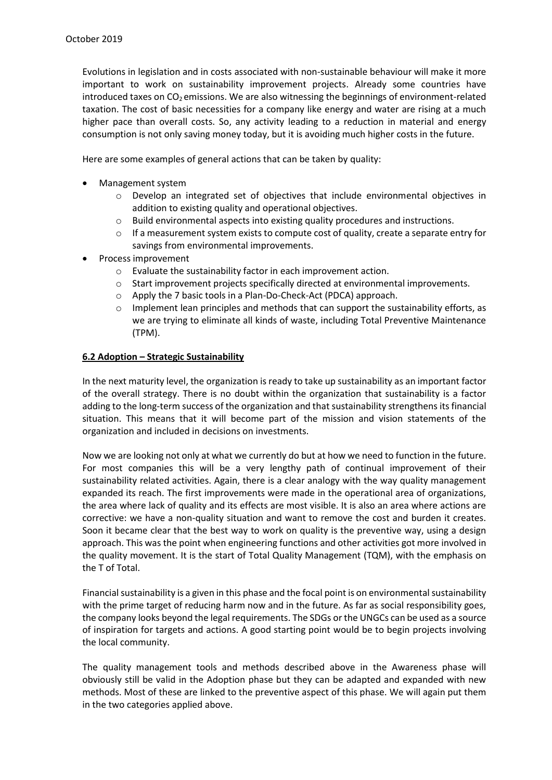Evolutions in legislation and in costs associated with non-sustainable behaviour will make it more important to work on sustainability improvement projects. Already some countries have introduced taxes on  $CO<sub>2</sub>$  emissions. We are also witnessing the beginnings of environment-related taxation. The cost of basic necessities for a company like energy and water are rising at a much higher pace than overall costs. So, any activity leading to a reduction in material and energy consumption is not only saving money today, but it is avoiding much higher costs in the future.

Here are some examples of general actions that can be taken by quality:

- Management system
	- $\circ$  Develop an integrated set of objectives that include environmental objectives in addition to existing quality and operational objectives.
	- $\circ$  Build environmental aspects into existing quality procedures and instructions.
	- $\circ$  If a measurement system exists to compute cost of quality, create a separate entry for savings from environmental improvements.
- Process improvement
	- o Evaluate the sustainability factor in each improvement action.
	- $\circ$  Start improvement projects specifically directed at environmental improvements.
	- o Apply the 7 basic tools in a Plan-Do-Check-Act (PDCA) approach.
	- $\circ$  Implement lean principles and methods that can support the sustainability efforts, as we are trying to eliminate all kinds of waste, including Total Preventive Maintenance (TPM).

#### **6.2 Adoption – Strategic Sustainability**

In the next maturity level, the organization is ready to take up sustainability as an important factor of the overall strategy. There is no doubt within the organization that sustainability is a factor adding to the long-term success of the organization and that sustainability strengthens its financial situation. This means that it will become part of the mission and vision statements of the organization and included in decisions on investments.

Now we are looking not only at what we currently do but at how we need to function in the future. For most companies this will be a very lengthy path of continual improvement of their sustainability related activities. Again, there is a clear analogy with the way quality management expanded its reach. The first improvements were made in the operational area of organizations, the area where lack of quality and its effects are most visible. It is also an area where actions are corrective: we have a non-quality situation and want to remove the cost and burden it creates. Soon it became clear that the best way to work on quality is the preventive way, using a design approach. This was the point when engineering functions and other activities got more involved in the quality movement. It is the start of Total Quality Management (TQM), with the emphasis on the T of Total.

Financial sustainability is a given in this phase and the focal point is on environmental sustainability with the prime target of reducing harm now and in the future. As far as social responsibility goes, the company looks beyond the legal requirements. The SDGs or the UNGCs can be used as a source of inspiration for targets and actions. A good starting point would be to begin projects involving the local community.

The quality management tools and methods described above in the Awareness phase will obviously still be valid in the Adoption phase but they can be adapted and expanded with new methods. Most of these are linked to the preventive aspect of this phase. We will again put them in the two categories applied above.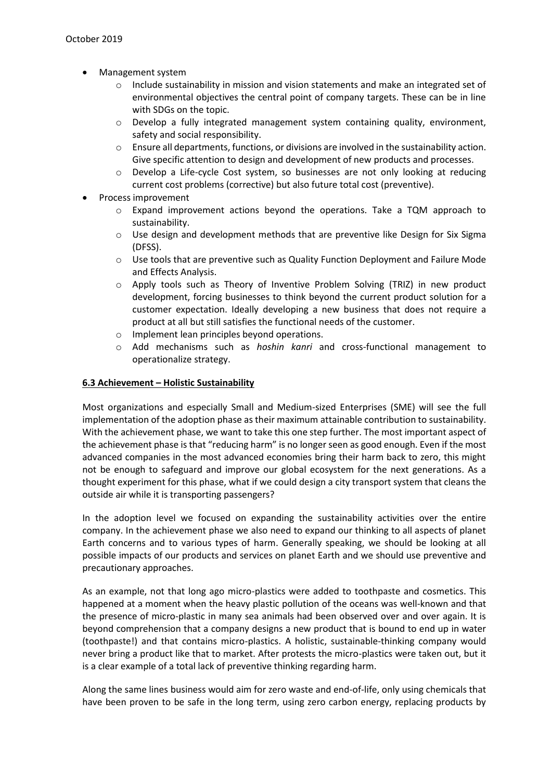- Management system
	- $\circ$  Include sustainability in mission and vision statements and make an integrated set of environmental objectives the central point of company targets. These can be in line with SDGs on the topic.
	- o Develop a fully integrated management system containing quality, environment, safety and social responsibility.
	- $\circ$  Ensure all departments, functions, or divisions are involved in the sustainability action. Give specific attention to design and development of new products and processes.
	- o Develop a Life-cycle Cost system, so businesses are not only looking at reducing current cost problems (corrective) but also future total cost (preventive).
- Process improvement
	- $\circ$  Expand improvement actions beyond the operations. Take a TQM approach to sustainability.
	- o Use design and development methods that are preventive like Design for Six Sigma (DFSS).
	- $\circ$  Use tools that are preventive such as Quality Function Deployment and Failure Mode and Effects Analysis.
	- o Apply tools such as Theory of Inventive Problem Solving (TRIZ) in new product development, forcing businesses to think beyond the current product solution for a customer expectation. Ideally developing a new business that does not require a product at all but still satisfies the functional needs of the customer.
	- o Implement lean principles beyond operations.
	- o Add mechanisms such as *hoshin kanri* and cross-functional management to operationalize strategy.

#### **6.3 Achievement – Holistic Sustainability**

Most organizations and especially Small and Medium-sized Enterprises (SME) will see the full implementation of the adoption phase as their maximum attainable contribution to sustainability. With the achievement phase, we want to take this one step further. The most important aspect of the achievement phase is that "reducing harm" is no longer seen as good enough. Even if the most advanced companies in the most advanced economies bring their harm back to zero, this might not be enough to safeguard and improve our global ecosystem for the next generations. As a thought experiment for this phase, what if we could design a city transport system that cleans the outside air while it is transporting passengers?

In the adoption level we focused on expanding the sustainability activities over the entire company. In the achievement phase we also need to expand our thinking to all aspects of planet Earth concerns and to various types of harm. Generally speaking, we should be looking at all possible impacts of our products and services on planet Earth and we should use preventive and precautionary approaches.

As an example, not that long ago micro-plastics were added to toothpaste and cosmetics. This happened at a moment when the heavy plastic pollution of the oceans was well-known and that the presence of micro-plastic in many sea animals had been observed over and over again. It is beyond comprehension that a company designs a new product that is bound to end up in water (toothpaste!) and that contains micro-plastics. A holistic, sustainable-thinking company would never bring a product like that to market. After protests the micro-plastics were taken out, but it is a clear example of a total lack of preventive thinking regarding harm.

Along the same lines business would aim for zero waste and end-of-life, only using chemicals that have been proven to be safe in the long term, using zero carbon energy, replacing products by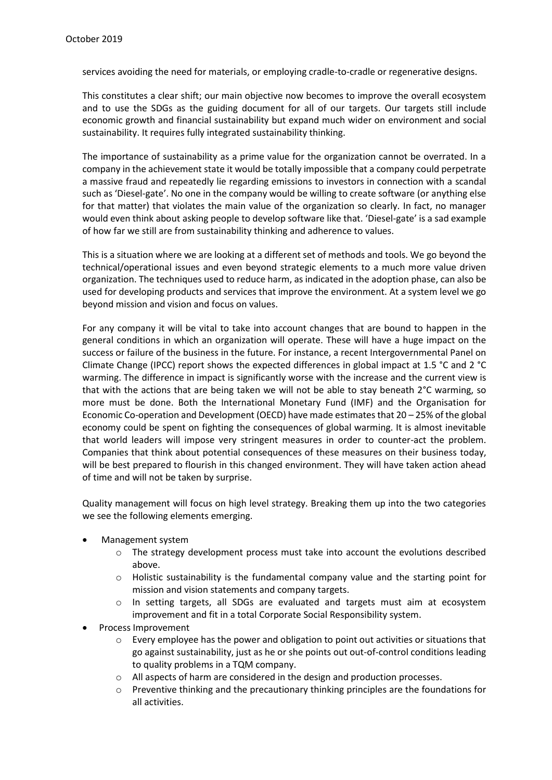services avoiding the need for materials, or employing cradle-to-cradle or regenerative designs.

This constitutes a clear shift; our main objective now becomes to improve the overall ecosystem and to use the SDGs as the guiding document for all of our targets. Our targets still include economic growth and financial sustainability but expand much wider on environment and social sustainability. It requires fully integrated sustainability thinking.

The importance of sustainability as a prime value for the organization cannot be overrated. In a company in the achievement state it would be totally impossible that a company could perpetrate a massive fraud and repeatedly lie regarding emissions to investors in connection with a scandal such as 'Diesel-gate'. No one in the company would be willing to create software (or anything else for that matter) that violates the main value of the organization so clearly. In fact, no manager would even think about asking people to develop software like that. 'Diesel-gate' is a sad example of how far we still are from sustainability thinking and adherence to values.

This is a situation where we are looking at a different set of methods and tools. We go beyond the technical/operational issues and even beyond strategic elements to a much more value driven organization. The techniques used to reduce harm, as indicated in the adoption phase, can also be used for developing products and services that improve the environment. At a system level we go beyond mission and vision and focus on values.

For any company it will be vital to take into account changes that are bound to happen in the general conditions in which an organization will operate. These will have a huge impact on the success or failure of the business in the future. For instance, a recent Intergovernmental Panel on Climate Change (IPCC) report shows the expected differences in global impact at 1.5 °C and 2 °C warming. The difference in impact is significantly worse with the increase and the current view is that with the actions that are being taken we will not be able to stay beneath 2°C warming, so more must be done. Both the International Monetary Fund (IMF) and the Organisation for Economic Co-operation and Development (OECD) have made estimates that 20 – 25% of the global economy could be spent on fighting the consequences of global warming. It is almost inevitable that world leaders will impose very stringent measures in order to counter-act the problem. Companies that think about potential consequences of these measures on their business today, will be best prepared to flourish in this changed environment. They will have taken action ahead of time and will not be taken by surprise.

Quality management will focus on high level strategy. Breaking them up into the two categories we see the following elements emerging.

- Management system
	- $\circ$  The strategy development process must take into account the evolutions described above.
	- $\circ$  Holistic sustainability is the fundamental company value and the starting point for mission and vision statements and company targets.
	- o In setting targets, all SDGs are evaluated and targets must aim at ecosystem improvement and fit in a total Corporate Social Responsibility system.
- Process Improvement
	- $\circ$  Every employee has the power and obligation to point out activities or situations that go against sustainability, just as he or she points out out-of-control conditions leading to quality problems in a TQM company.
	- o All aspects of harm are considered in the design and production processes.
	- $\circ$  Preventive thinking and the precautionary thinking principles are the foundations for all activities.